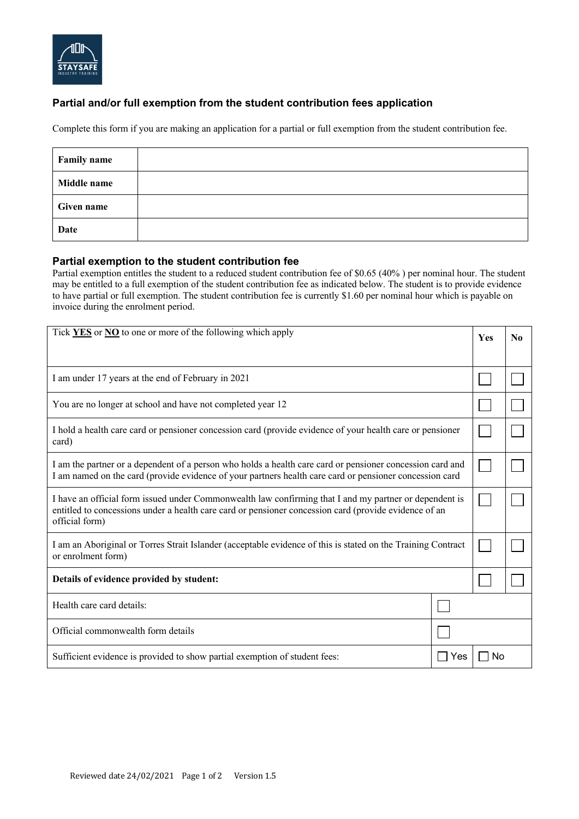

## **Partial and/or full exemption from the student contribution fees application**

Complete this form if you are making an application for a partial or full exemption from the student contribution fee.

| <b>Family name</b> |  |
|--------------------|--|
| Middle name        |  |
| <b>Given name</b>  |  |
| <b>Date</b>        |  |

## **Partial exemption to the student contribution fee**

Partial exemption entitles the student to a reduced student contribution fee of \$0.65 (40% ) per nominal hour. The student may be entitled to a full exemption of the student contribution fee as indicated below. The student is to provide evidence to have partial or full exemption. The student contribution fee is currently \$1.60 per nominal hour which is payable on invoice during the enrolment period.

| Tick YES or NO to one or more of the following which apply                                                                                                                                                                        |  | <b>Yes</b> | N <sub>0</sub> |
|-----------------------------------------------------------------------------------------------------------------------------------------------------------------------------------------------------------------------------------|--|------------|----------------|
|                                                                                                                                                                                                                                   |  |            |                |
| I am under 17 years at the end of February in 2021                                                                                                                                                                                |  |            |                |
| You are no longer at school and have not completed year 12                                                                                                                                                                        |  |            |                |
| I hold a health care card or pensioner concession card (provide evidence of your health care or pensioner<br>card)                                                                                                                |  |            |                |
| I am the partner or a dependent of a person who holds a health care card or pensioner concession card and<br>I am named on the card (provide evidence of your partners health care card or pensioner concession card              |  |            |                |
| I have an official form issued under Commonwealth law confirming that I and my partner or dependent is<br>entitled to concessions under a health care card or pensioner concession card (provide evidence of an<br>official form) |  |            |                |
| I am an Aboriginal or Torres Strait Islander (acceptable evidence of this is stated on the Training Contract<br>or enrolment form)                                                                                                |  |            |                |
| Details of evidence provided by student:                                                                                                                                                                                          |  |            |                |
| Health care card details:                                                                                                                                                                                                         |  |            |                |
| Official commonwealth form details                                                                                                                                                                                                |  |            |                |
| Sufficient evidence is provided to show partial exemption of student fees:<br>Yes                                                                                                                                                 |  | N٥         |                |